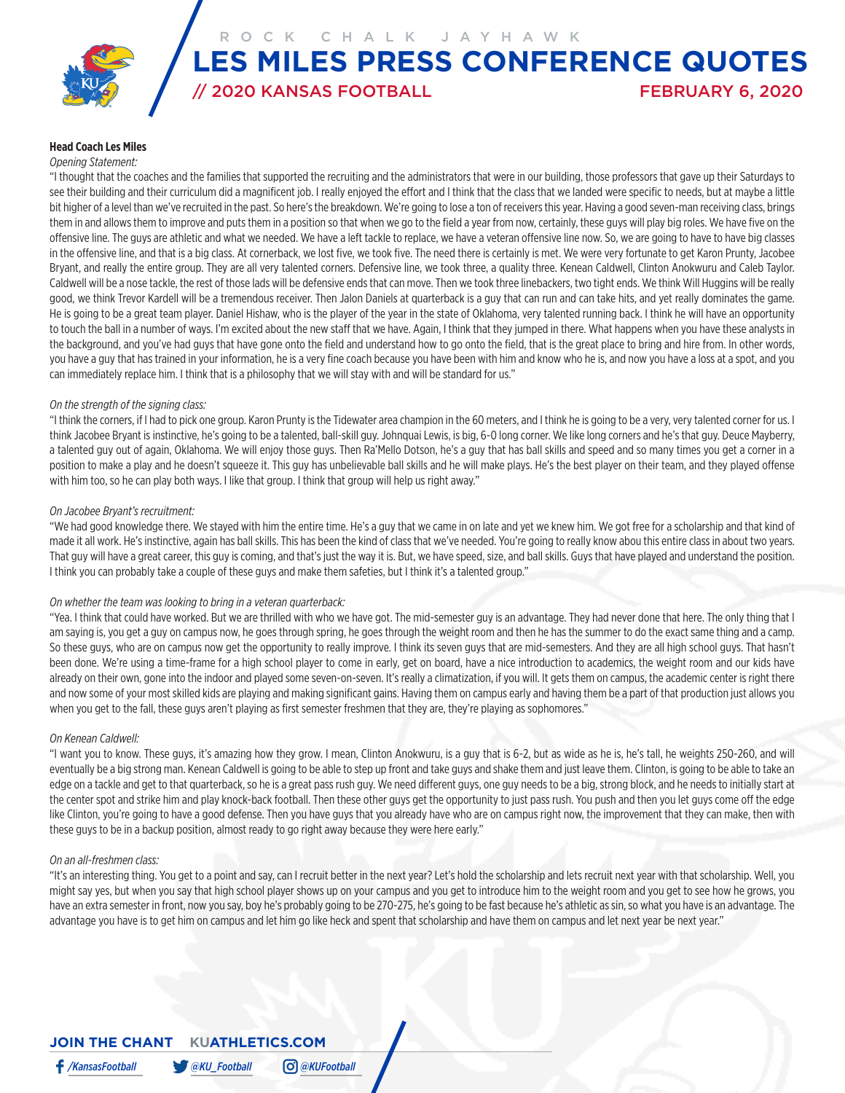ROCK CHALK JAYHAWK

# // 2020 KANSAS FOOTBALL FEBRUARY 6, 2020 **LES MILES PRESS CONFERENCE QUOTES**

#### **Head Coach Les Miles**

#### *Opening Statement:*

"I thought that the coaches and the families that supported the recruiting and the administrators that were in our building, those professors that gave up their Saturdays to see their building and their curriculum did a magnificent job. I really enjoyed the effort and I think that the class that we landed were specific to needs, but at maybe a little bit higher of a level than we've recruited in the past. So here's the breakdown. We're going to lose a ton of receivers this year. Having a good seven-man receiving class, brings them in and allows them to improve and puts them in a position so that when we go to the field a year from now, certainly, these guys will play big roles. We have five on the offensive line. The guys are athletic and what we needed. We have a left tackle to replace, we have a veteran offensive line now. So, we are going to have to have big classes in the offensive line, and that is a big class. At cornerback, we lost five, we took five. The need there is certainly is met. We were very fortunate to get Karon Prunty, Jacobee Bryant, and really the entire group. They are all very talented corners. Defensive line, we took three, a quality three. Kenean Caldwell, Clinton Anokwuru and Caleb Taylor. Caldwell will be a nose tackle, the rest of those lads will be defensive ends that can move. Then we took three linebackers, two tight ends. We think Will Huggins will be really good, we think Trevor Kardell will be a tremendous receiver. Then Jalon Daniels at quarterback is a guy that can run and can take hits, and yet really dominates the game. He is going to be a great team player. Daniel Hishaw, who is the player of the year in the state of Oklahoma, very talented running back. I think he will have an opportunity to touch the ball in a number of ways. I'm excited about the new staff that we have. Again, I think that they jumped in there. What happens when you have these analysts in the background, and you've had guys that have gone onto the field and understand how to go onto the field, that is the great place to bring and hire from. In other words, you have a guy that has trained in your information, he is a very fine coach because you have been with him and know who he is, and now you have a loss at a spot, and you can immediately replace him. I think that is a philosophy that we will stay with and will be standard for us."

#### *On the strength of the signing class:*

"I think the corners, if I had to pick one group. Karon Prunty is the Tidewater area champion in the 60 meters, and I think he is going to be a very, very talented corner for us. I think Jacobee Bryant is instinctive, he's going to be a talented, ball-skill guy. Johnquai Lewis, is big, 6-0 long corner. We like long corners and he's that guy. Deuce Mayberry, a talented guy out of again, Oklahoma. We will enjoy those guys. Then Ra'Mello Dotson, he's a guy that has ball skills and speed and so many times you get a corner in a position to make a play and he doesn't squeeze it. This guy has unbelievable ball skills and he will make plays. He's the best player on their team, and they played offense with him too, so he can play both ways. I like that group. I think that group will help us right away."

#### *On Jacobee Bryant's recruitment:*

"We had good knowledge there. We stayed with him the entire time. He's a guy that we came in on late and yet we knew him. We got free for a scholarship and that kind of made it all work. He's instinctive, again has ball skills. This has been the kind of class that we've needed. You're going to really know abou this entire class in about two years. That guy will have a great career, this guy is coming, and that's just the way it is. But, we have speed, size, and ball skills. Guys that have played and understand the position. I think you can probably take a couple of these guys and make them safeties, but I think it's a talented group."

#### *On whether the team was looking to bring in a veteran quarterback:*

"Yea. I think that could have worked. But we are thrilled with who we have got. The mid-semester guy is an advantage. They had never done that here. The only thing that I am saying is, you get a guy on campus now, he goes through spring, he goes through the weight room and then he has the summer to do the exact same thing and a camp. So these guys, who are on campus now get the opportunity to really improve. I think its seven guys that are mid-semesters. And they are all high school guys. That hasn't been done. We're using a time-frame for a high school player to come in early, get on board, have a nice introduction to academics, the weight room and our kids have already on their own, gone into the indoor and played some seven-on-seven. It's really a climatization, if you will. It gets them on campus, the academic center is right there and now some of your most skilled kids are playing and making significant gains. Having them on campus early and having them be a part of that production just allows you when you get to the fall, these guys aren't playing as first semester freshmen that they are, they're playing as sophomores."

#### *On Kenean Caldwell:*

"I want you to know. These guys, it's amazing how they grow. I mean, Clinton Anokwuru, is a guy that is 6-2, but as wide as he is, he's tall, he weights 250-260, and will eventually be a big strong man. Kenean Caldwell is going to be able to step up front and take guys and shake them and just leave them. Clinton, is going to be able to take an edge on a tackle and get to that quarterback, so he is a great pass rush guy. We need different guys, one guy needs to be a big, strong block, and he needs to initially start at the center spot and strike him and play knock-back football. Then these other guys get the opportunity to just pass rush. You push and then you let guys come off the edge like Clinton, you're going to have a good defense. Then you have guys that you already have who are on campus right now, the improvement that they can make, then with these guys to be in a backup position, almost ready to go right away because they were here early."

#### *On an all-freshmen class:*

"It's an interesting thing. You get to a point and say, can I recruit better in the next year? Let's hold the scholarship and lets recruit next year with that scholarship. Well, you might say yes, but when you say that high school player shows up on your campus and you get to introduce him to the weight room and you get to see how he grows, you have an extra semester in front, now you say, boy he's probably going to be 270-275, he's going to be fast because he's athletic as sin, so what you have is an advantage. The advantage you have is to get him on campus and let him go like heck and spent that scholarship and have them on campus and let next year be next year."

## **JOIN THE CHANT KUATHLETICS.COM**

*/KansasFootball @KU\_Football @KUFootball*